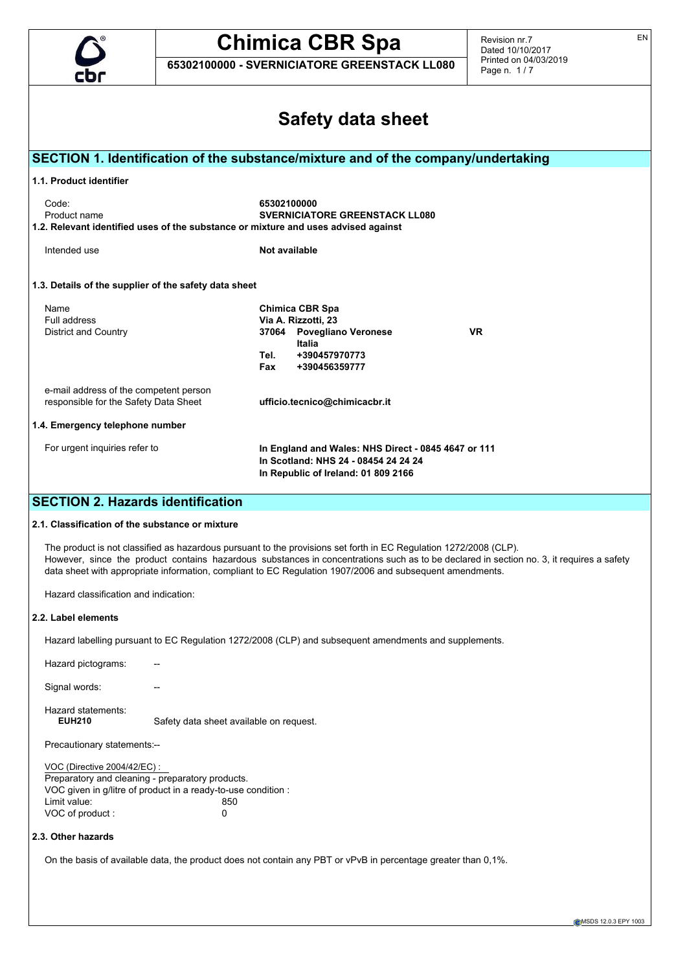

**65302100000 - SVERNICIATORE GREENSTACK LL080**

Revision nr.7 Dated 10/10/2017 Printed on 04/03/2019 Page n. 1 / 7

|                                                                                                                                                                                      | <b>Safety data sheet</b>                                                                                                                                                                                                                                                                                                                                                  |
|--------------------------------------------------------------------------------------------------------------------------------------------------------------------------------------|---------------------------------------------------------------------------------------------------------------------------------------------------------------------------------------------------------------------------------------------------------------------------------------------------------------------------------------------------------------------------|
|                                                                                                                                                                                      | SECTION 1. Identification of the substance/mixture and of the company/undertaking                                                                                                                                                                                                                                                                                         |
| 1.1. Product identifier                                                                                                                                                              |                                                                                                                                                                                                                                                                                                                                                                           |
| Code:<br>Product name<br>1.2. Relevant identified uses of the substance or mixture and uses advised against                                                                          | 65302100000<br><b>SVERNICIATORE GREENSTACK LL080</b>                                                                                                                                                                                                                                                                                                                      |
| Intended use                                                                                                                                                                         | Not available                                                                                                                                                                                                                                                                                                                                                             |
| 1.3. Details of the supplier of the safety data sheet                                                                                                                                |                                                                                                                                                                                                                                                                                                                                                                           |
| Name<br>Full address<br><b>District and Country</b>                                                                                                                                  | <b>Chimica CBR Spa</b><br>Via A. Rizzotti, 23<br>37064 Povegliano Veronese<br>VR.<br>Italia<br>Tel.<br>+390457970773<br>Fax<br>+390456359777                                                                                                                                                                                                                              |
| e-mail address of the competent person<br>responsible for the Safety Data Sheet                                                                                                      | ufficio.tecnico@chimicacbr.it                                                                                                                                                                                                                                                                                                                                             |
| 1.4. Emergency telephone number                                                                                                                                                      |                                                                                                                                                                                                                                                                                                                                                                           |
| For urgent inquiries refer to                                                                                                                                                        | In England and Wales: NHS Direct - 0845 4647 or 111<br>In Scotland: NHS 24 - 08454 24 24 24<br>In Republic of Ireland: 01 809 2166                                                                                                                                                                                                                                        |
| <b>SECTION 2. Hazards identification</b>                                                                                                                                             |                                                                                                                                                                                                                                                                                                                                                                           |
| 2.1. Classification of the substance or mixture                                                                                                                                      |                                                                                                                                                                                                                                                                                                                                                                           |
|                                                                                                                                                                                      | The product is not classified as hazardous pursuant to the provisions set forth in EC Regulation 1272/2008 (CLP).<br>However, since the product contains hazardous substances in concentrations such as to be declared in section no. 3, it requires a safety<br>data sheet with appropriate information, compliant to EC Regulation 1907/2006 and subsequent amendments. |
| Hazard classification and indication:                                                                                                                                                |                                                                                                                                                                                                                                                                                                                                                                           |
| 2.2. Label elements                                                                                                                                                                  |                                                                                                                                                                                                                                                                                                                                                                           |
|                                                                                                                                                                                      | Hazard labelling pursuant to EC Regulation 1272/2008 (CLP) and subsequent amendments and supplements.                                                                                                                                                                                                                                                                     |
|                                                                                                                                                                                      |                                                                                                                                                                                                                                                                                                                                                                           |
| Hazard pictograms:                                                                                                                                                                   |                                                                                                                                                                                                                                                                                                                                                                           |
| Signal words:                                                                                                                                                                        |                                                                                                                                                                                                                                                                                                                                                                           |
| Hazard statements:<br><b>EUH210</b>                                                                                                                                                  | Safety data sheet available on request.                                                                                                                                                                                                                                                                                                                                   |
| Precautionary statements:--                                                                                                                                                          |                                                                                                                                                                                                                                                                                                                                                                           |
| VOC (Directive 2004/42/EC) :<br>Preparatory and cleaning - preparatory products.<br>VOC given in g/litre of product in a ready-to-use condition :<br>Limit value:<br>VOC of product: | 850<br>0                                                                                                                                                                                                                                                                                                                                                                  |
| 2.3. Other hazards                                                                                                                                                                   |                                                                                                                                                                                                                                                                                                                                                                           |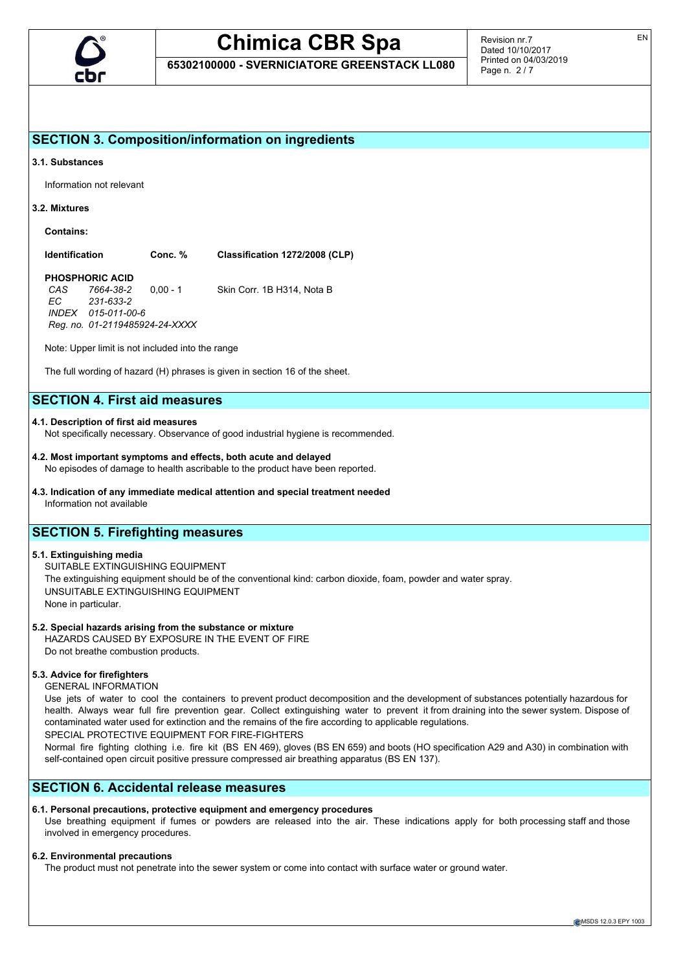

**65302100000 - SVERNICIATORE GREENSTACK LL080**

Revision nr.7 Dated 10/10/2017 Printed on 04/03/2019 Page n. 2 / 7

## **SECTION 3. Composition/information on ingredients**

#### **3.1. Substances**

Information not relevant

#### **3.2. Mixtures**

**Contains:**

**Identification Conc. % Classification 1272/2008 (CLP)**

## **PHOSPHORIC ACID**<br>CAS 7664-38-2

*CAS 7664-38-2* 0,00 - 1 Skin Corr. 1B H314, Nota B *EC 231-633-2 INDEX 015-011-00-6 Reg. no. 01-2119485924-24-XXXX*

Note: Upper limit is not included into the range

The full wording of hazard (H) phrases is given in section 16 of the sheet.

## **SECTION 4. First aid measures**

#### **4.1. Description of first aid measures**

Not specifically necessary. Observance of good industrial hygiene is recommended.

## **4.2. Most important symptoms and effects, both acute and delayed**

No episodes of damage to health ascribable to the product have been reported.

**4.3. Indication of any immediate medical attention and special treatment needed** Information not available

## **SECTION 5. Firefighting measures**

#### **5.1. Extinguishing media**

SUITABLE EXTINGUISHING EQUIPMENT The extinguishing equipment should be of the conventional kind: carbon dioxide, foam, powder and water spray. UNSUITABLE EXTINGUISHING EQUIPMENT None in particular.

### **5.2. Special hazards arising from the substance or mixture**

HAZARDS CAUSED BY EXPOSURE IN THE EVENT OF FIRE Do not breathe combustion products.

### **5.3. Advice for firefighters**

GENERAL INFORMATION

Use jets of water to cool the containers to prevent product decomposition and the development of substances potentially hazardous for health. Always wear full fire prevention gear. Collect extinguishing water to prevent it from draining into the sewer system. Dispose of contaminated water used for extinction and the remains of the fire according to applicable regulations. SPECIAL PROTECTIVE EQUIPMENT FOR FIRE-FIGHTERS

Normal fire fighting clothing i.e. fire kit (BS EN 469), gloves (BS EN 659) and boots (HO specification A29 and A30) in combination with self-contained open circuit positive pressure compressed air breathing apparatus (BS EN 137).

## **SECTION 6. Accidental release measures**

## **6.1. Personal precautions, protective equipment and emergency procedures**

Use breathing equipment if fumes or powders are released into the air. These indications apply for both processing staff and those involved in emergency procedures.

## **6.2. Environmental precautions**

The product must not penetrate into the sewer system or come into contact with surface water or ground water.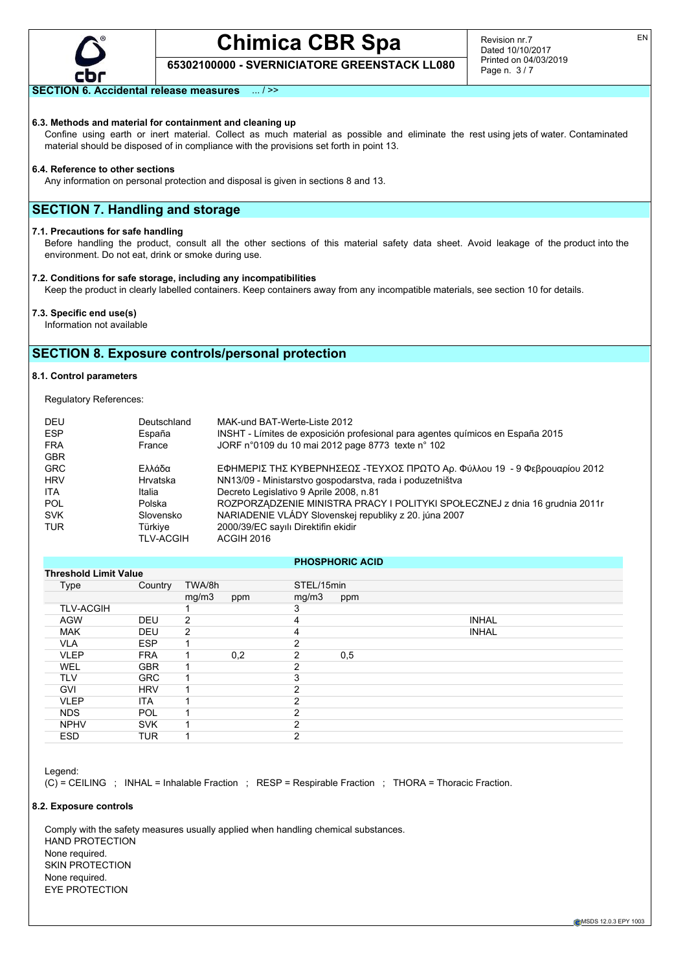

Revision nr.7 Dated 10/10/2017 Printed on 04/03/2019 Page n. 3 / 7

## **65302100000 - SVERNICIATORE GREENSTACK LL080**

### **SECTION 6. Accidental release measures** ... / >>

#### **6.3. Methods and material for containment and cleaning up**

Confine using earth or inert material. Collect as much material as possible and eliminate the rest using jets of water. Contaminated material should be disposed of in compliance with the provisions set forth in point 13.

#### **6.4. Reference to other sections**

Any information on personal protection and disposal is given in sections 8 and 13.

## **SECTION 7. Handling and storage**

#### **7.1. Precautions for safe handling**

Before handling the product, consult all the other sections of this material safety data sheet. Avoid leakage of the product into the environment. Do not eat, drink or smoke during use.

#### **7.2. Conditions for safe storage, including any incompatibilities**

Keep the product in clearly labelled containers. Keep containers away from any incompatible materials, see section 10 for details.

#### **7.3. Specific end use(s)**

Information not available

## **SECTION 8. Exposure controls/personal protection**

#### **8.1. Control parameters**

Regulatory References:

| <b>DEU</b> | Deutschland      | MAK-und BAT-Werte-Liste 2012                                                   |
|------------|------------------|--------------------------------------------------------------------------------|
| <b>ESP</b> | España           | INSHT - Límites de exposición profesional para agentes químicos en España 2015 |
| <b>FRA</b> | France           | JORF n°0109 du 10 mai 2012 page 8773 texte n° 102                              |
| <b>GBR</b> |                  |                                                                                |
| <b>GRC</b> | Ελλάδα           | ΕΦΗΜΕΡΙΣ ΤΗΣ ΚΥΒΕΡΝΗΣΕΩΣ -ΤΕΥΧΟΣ ΠΡΩΤΟ Αρ. Φύλλου 19 - 9 Φεβρουαρίου 2012      |
| <b>HRV</b> | <b>Hrvatska</b>  | NN13/09 - Ministarstvo gospodarstva, rada i poduzetništva                      |
| <b>ITA</b> | Italia           | Decreto Legislativo 9 Aprile 2008, n.81                                        |
| POL        | Polska           | ROZPORZĄDZENIE MINISTRA PRACY I POLITYKI SPOŁECZNEJ z dnia 16 grudnia 2011r    |
| <b>SVK</b> | Slovensko        | NARIADENIE VLÁDY Slovenskej republiky z 20. júna 2007                          |
| <b>TUR</b> | Türkive          | 2000/39/EC sayılı Direktifin ekidir                                            |
|            | <b>TLV-ACGIH</b> | ACGIH 2016                                                                     |
|            |                  |                                                                                |

#### **PHOSPHORIC ACID**

| <b>Threshold Limit Value</b> |            |        |     |               |     |              |  |
|------------------------------|------------|--------|-----|---------------|-----|--------------|--|
| <b>Type</b>                  | Country    | TWA/8h |     | STEL/15min    |     |              |  |
|                              |            | mg/m3  | ppm | mg/m3         | ppm |              |  |
| <b>TLV-ACGIH</b>             |            |        |     | 3             |     |              |  |
| <b>AGW</b>                   | <b>DEU</b> | 2      |     | 4             |     | <b>INHAL</b> |  |
| <b>MAK</b>                   | <b>DEU</b> | 2      |     | 4             |     | <b>INHAL</b> |  |
| <b>VLA</b>                   | <b>ESP</b> |        |     | ົ             |     |              |  |
| <b>VLEP</b>                  | <b>FRA</b> | 1      | 0,2 | 2             | 0,5 |              |  |
| WEL                          | <b>GBR</b> |        |     | 2             |     |              |  |
| <b>TLV</b>                   | <b>GRC</b> |        |     | 3             |     |              |  |
| <b>GVI</b>                   | <b>HRV</b> |        |     | ົ             |     |              |  |
| <b>VLEP</b>                  | <b>ITA</b> |        |     | ົ             |     |              |  |
| <b>NDS</b>                   | <b>POL</b> |        |     | 2             |     |              |  |
| <b>NPHV</b>                  | <b>SVK</b> |        |     | $\mathcal{P}$ |     |              |  |
| <b>ESD</b>                   | <b>TUR</b> |        |     | 2             |     |              |  |

Legend:

(C) = CEILING ; INHAL = Inhalable Fraction ; RESP = Respirable Fraction ; THORA = Thoracic Fraction.

#### **8.2. Exposure controls**

Comply with the safety measures usually applied when handling chemical substances. HAND PROTECTION None required. SKIN PROTECTION None required. EYE PROTECTION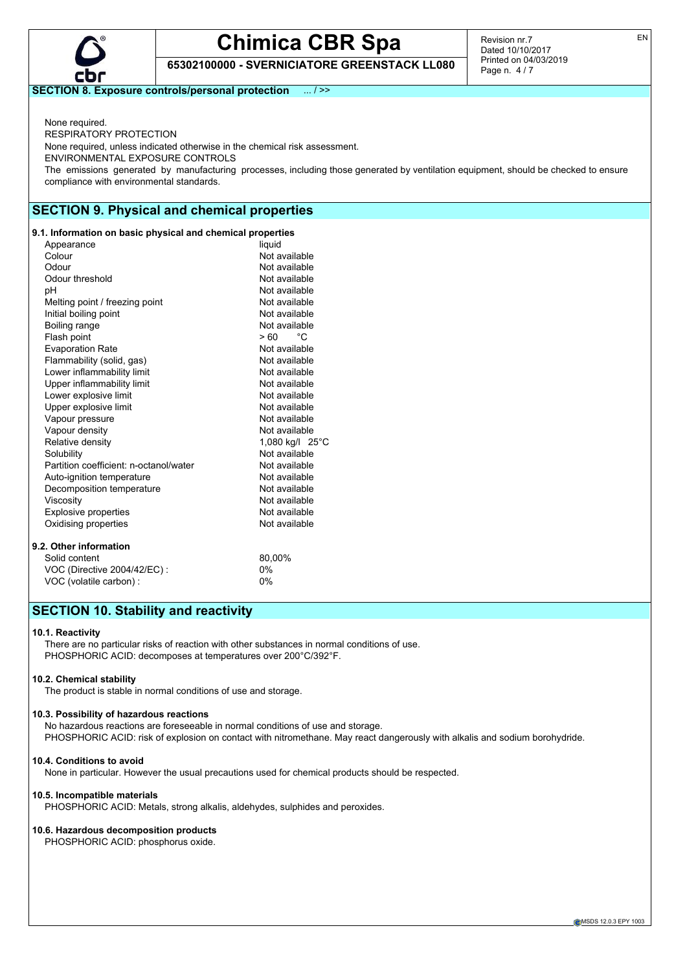

**65302100000 - SVERNICIATORE GREENSTACK LL080**

Revision nr.7 Dated 10/10/2017 Printed on 04/03/2019 Page n. 4 / 7

**SECTION 8. Exposure controls/personal protection** ... / >>

None required. RESPIRATORY PROTECTION None required, unless indicated otherwise in the chemical risk assessment. ENVIRONMENTAL EXPOSURE CONTROLS The emissions generated by manufacturing processes, including those generated by ventilation equipment, should be checked to ensure compliance with environmental standards.

## **SECTION 9. Physical and chemical properties**

#### **9.1. Information on basic physical and chemical properties**

| Appearance                             | liquid          |
|----------------------------------------|-----------------|
| Colour                                 | Not available   |
| Odour                                  | Not available   |
| Odour threshold                        | Not available   |
| рH                                     | Not available   |
| Melting point / freezing point         | Not available   |
| Initial boiling point                  | Not available   |
| Boiling range                          | Not available   |
| Flash point                            | °€<br>> 60      |
| <b>Evaporation Rate</b>                | Not available   |
| Flammability (solid, gas)              | Not available   |
| Lower inflammability limit             | Not available   |
| Upper inflammability limit             | Not available   |
| Lower explosive limit                  | Not available   |
| Upper explosive limit                  | Not available   |
| Vapour pressure                        | Not available   |
| Vapour density                         | Not available   |
| Relative density                       | 1,080 kg/l 25°C |
| Solubility                             | Not available   |
| Partition coefficient: n-octanol/water | Not available   |
| Auto-ignition temperature              | Not available   |
| Decomposition temperature              | Not available   |
| Viscositv                              | Not available   |
| <b>Explosive properties</b>            | Not available   |
| Oxidising properties                   | Not available   |
| 9.2. Other information                 |                 |
| Solid content                          | 80,00%          |
| VOC (Directive 2004/42/EC) :           | $0\%$           |
| VOC (volatile carbon) :                | 0%              |

## **SECTION 10. Stability and reactivity**

#### **10.1. Reactivity**

There are no particular risks of reaction with other substances in normal conditions of use. PHOSPHORIC ACID: decomposes at temperatures over 200°C/392°F.

#### **10.2. Chemical stability**

The product is stable in normal conditions of use and storage.

#### **10.3. Possibility of hazardous reactions**

No hazardous reactions are foreseeable in normal conditions of use and storage. PHOSPHORIC ACID: risk of explosion on contact with nitromethane. May react dangerously with alkalis and sodium borohydride.

#### **10.4. Conditions to avoid**

None in particular. However the usual precautions used for chemical products should be respected.

#### **10.5. Incompatible materials**

PHOSPHORIC ACID: Metals, strong alkalis, aldehydes, sulphides and peroxides.

#### **10.6. Hazardous decomposition products**

PHOSPHORIC ACID: phosphorus oxide.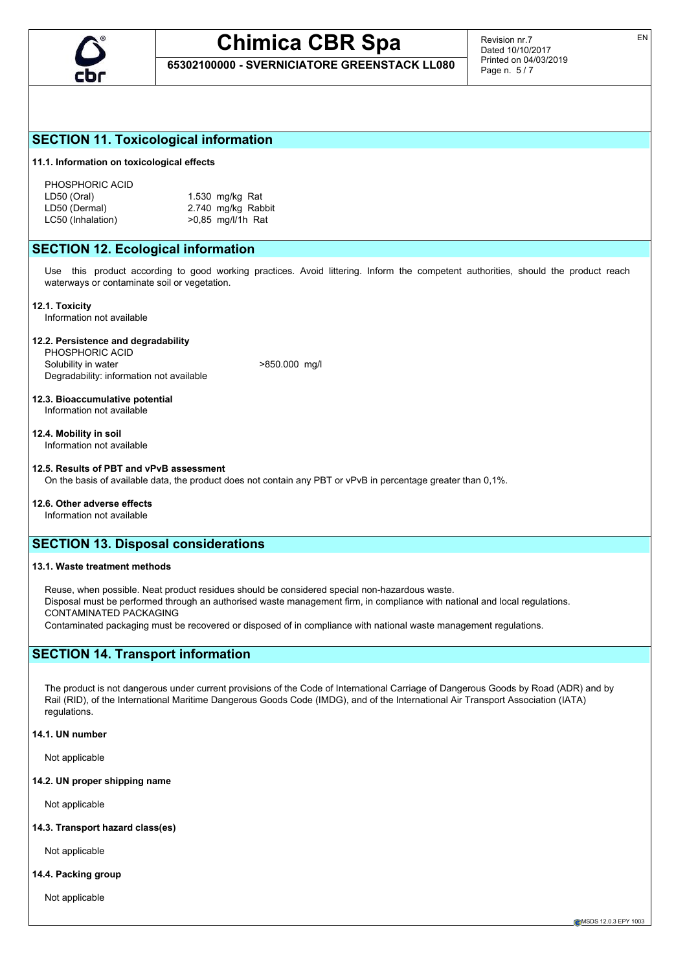

**65302100000 - SVERNICIATORE GREENSTACK LL080**

Revision nr.7 Dated 10/10/2017 Printed on 04/03/2019 Page n. 5 / 7

## **SECTION 11. Toxicological information**

#### **11.1. Information on toxicological effects**

PHOSPHORIC ACID LD50 (Oral) 1.530 mg/kg Rat<br>LD50 (Dermal) 2.740 mg/kg Rab LC50 (Inhalation)  $>0.85$  mg/l/1h Rat

2.740 mg/kg Rabbit

## **SECTION 12. Ecological information**

Use this product according to good working practices. Avoid littering. Inform the competent authorities, should the product reach waterways or contaminate soil or vegetation.

#### **12.1. Toxicity**

Information not available

#### **12.2. Persistence and degradability**

PHOSPHORIC ACID Solubility in water  $>850.000$  mg/l Degradability: information not available

#### **12.3. Bioaccumulative potential** Information not available

#### **12.4. Mobility in soil**

Information not available

#### **12.5. Results of PBT and vPvB assessment**

On the basis of available data, the product does not contain any PBT or vPvB in percentage greater than 0,1%.

#### **12.6. Other adverse effects**

Information not available

## **SECTION 13. Disposal considerations**

#### **13.1. Waste treatment methods**

Reuse, when possible. Neat product residues should be considered special non-hazardous waste. Disposal must be performed through an authorised waste management firm, in compliance with national and local regulations. CONTAMINATED PACKAGING Contaminated packaging must be recovered or disposed of in compliance with national waste management regulations.

## **SECTION 14. Transport information**

The product is not dangerous under current provisions of the Code of International Carriage of Dangerous Goods by Road (ADR) and by Rail (RID), of the International Maritime Dangerous Goods Code (IMDG), and of the International Air Transport Association (IATA) regulations.

#### **14.1. UN number**

Not applicable

#### **14.2. UN proper shipping name**

Not applicable

#### **14.3. Transport hazard class(es)**

Not applicable

#### **14.4. Packing group**

Not applicable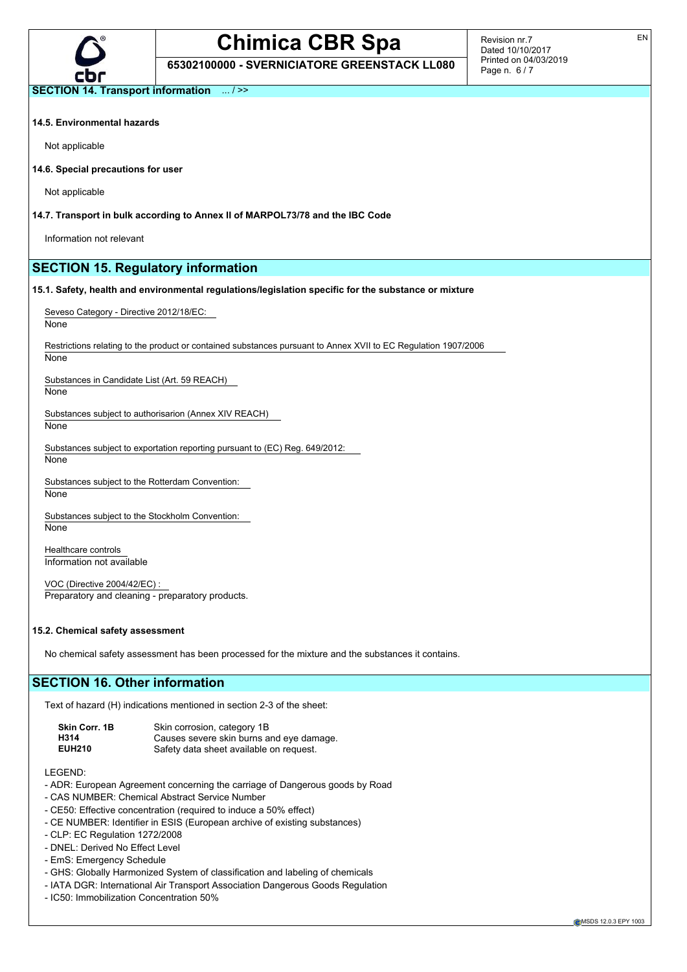

**65302100000 - SVERNICIATORE GREENSTACK LL080**

Revision nr.7 Dated 10/10/2017 Printed on 04/03/2019 Page n. 6 / 7

EN

**SECTION 14. Transport information** ... / >>

#### **14.5. Environmental hazards**

Not applicable

**14.6. Special precautions for user**

Not applicable

**14.7. Transport in bulk according to Annex II of MARPOL73/78 and the IBC Code**

Information not relevant

## **SECTION 15. Regulatory information**

**15.1. Safety, health and environmental regulations/legislation specific for the substance or mixture**

Seveso Category - Directive 2012/18/EC:

None

Restrictions relating to the product or contained substances pursuant to Annex XVII to EC Regulation 1907/2006

None

Substances in Candidate List (Art. 59 REACH)

None

Substances subject to authorisarion (Annex XIV REACH)

**None** 

Substances subject to exportation reporting pursuant to (EC) Reg. 649/2012:

None

Substances subject to the Rotterdam Convention: None

Substances subject to the Stockholm Convention:

None

Healthcare controls Information not available

VOC (Directive 2004/42/EC) : Preparatory and cleaning - preparatory products.

#### **15.2. Chemical safety assessment**

No chemical safety assessment has been processed for the mixture and the substances it contains.

## **SECTION 16. Other information**

Text of hazard (H) indications mentioned in section 2-3 of the sheet:

| Skin Corr. 1B | Skin corrosion, category 1B              |
|---------------|------------------------------------------|
| H314          | Causes severe skin burns and eye damage. |
| <b>EUH210</b> | Safety data sheet available on request.  |

LEGEND:

- ADR: European Agreement concerning the carriage of Dangerous goods by Road
- CAS NUMBER: Chemical Abstract Service Number
- CE50: Effective concentration (required to induce a 50% effect)
- CE NUMBER: Identifier in ESIS (European archive of existing substances)
- CLP: EC Regulation 1272/2008
- DNEL: Derived No Effect Level
- EmS: Emergency Schedule
- GHS: Globally Harmonized System of classification and labeling of chemicals
- IATA DGR: International Air Transport Association Dangerous Goods Regulation
- IC50: Immobilization Concentration 50%